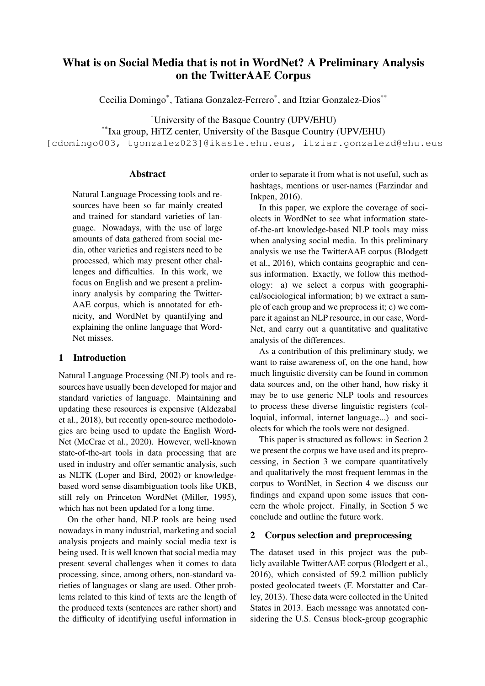# What is on Social Media that is not in WordNet? A Preliminary Analysis on the TwitterAAE Corpus

Cecilia Domingo\* , Tatiana Gonzalez-Ferrero\* , and Itziar Gonzalez-Dios\*\*

\*University of the Basque Country (UPV/EHU)

\*\*Ixa group, HiTZ center, University of the Basque Country (UPV/EHU)

[cdomingo003, tgonzalez023]@ikasle.ehu.eus, itziar.gonzalezd@ehu.eus

## Abstract

Natural Language Processing tools and resources have been so far mainly created and trained for standard varieties of language. Nowadays, with the use of large amounts of data gathered from social media, other varieties and registers need to be processed, which may present other challenges and difficulties. In this work, we focus on English and we present a preliminary analysis by comparing the Twitter-AAE corpus, which is annotated for ethnicity, and WordNet by quantifying and explaining the online language that Word-Net misses.

## 1 Introduction

Natural Language Processing (NLP) tools and resources have usually been developed for major and standard varieties of language. Maintaining and updating these resources is expensive (Aldezabal et al., 2018), but recently open-source methodologies are being used to update the English Word-Net (McCrae et al., 2020). However, well-known state-of-the-art tools in data processing that are used in industry and offer semantic analysis, such as NLTK (Loper and Bird, 2002) or knowledgebased word sense disambiguation tools like UKB, still rely on Princeton WordNet (Miller, 1995), which has not been updated for a long time.

On the other hand, NLP tools are being used nowadays in many industrial, marketing and social analysis projects and mainly social media text is being used. It is well known that social media may present several challenges when it comes to data processing, since, among others, non-standard varieties of languages or slang are used. Other problems related to this kind of texts are the length of the produced texts (sentences are rather short) and the difficulty of identifying useful information in order to separate it from what is not useful, such as hashtags, mentions or user-names (Farzindar and Inkpen, 2016).

In this paper, we explore the coverage of sociolects in WordNet to see what information stateof-the-art knowledge-based NLP tools may miss when analysing social media. In this preliminary analysis we use the TwitterAAE corpus (Blodgett et al., 2016), which contains geographic and census information. Exactly, we follow this methodology: a) we select a corpus with geographical/sociological information; b) we extract a sample of each group and we preprocess it; c) we compare it against an NLP resource, in our case, Word-Net, and carry out a quantitative and qualitative analysis of the differences.

As a contribution of this preliminary study, we want to raise awareness of, on the one hand, how much linguistic diversity can be found in common data sources and, on the other hand, how risky it may be to use generic NLP tools and resources to process these diverse linguistic registers (colloquial, informal, internet language...) and sociolects for which the tools were not designed.

This paper is structured as follows: in Section 2 we present the corpus we have used and its preprocessing, in Section 3 we compare quantitatively and qualitatively the most frequent lemmas in the corpus to WordNet, in Section 4 we discuss our findings and expand upon some issues that concern the whole project. Finally, in Section 5 we conclude and outline the future work.

## 2 Corpus selection and preprocessing

The dataset used in this project was the publicly available TwitterAAE corpus (Blodgett et al., 2016), which consisted of 59.2 million publicly posted geolocated tweets (F. Morstatter and Carley, 2013). These data were collected in the United States in 2013. Each message was annotated considering the U.S. Census block-group geographic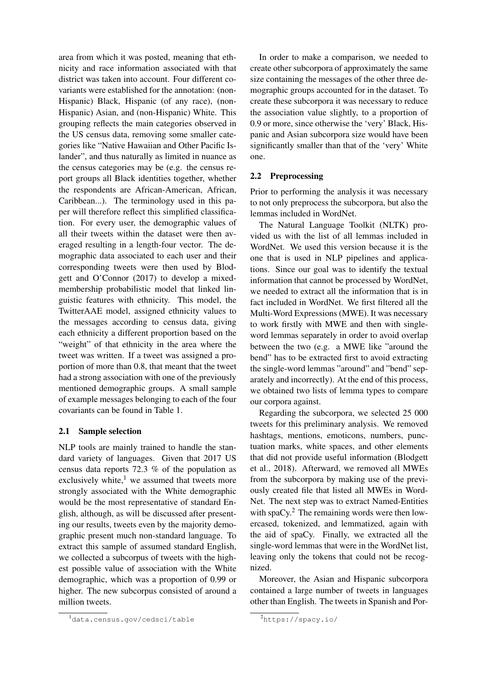area from which it was posted, meaning that ethnicity and race information associated with that district was taken into account. Four different covariants were established for the annotation: (non-Hispanic) Black, Hispanic (of any race), (non-Hispanic) Asian, and (non-Hispanic) White. This grouping reflects the main categories observed in the US census data, removing some smaller categories like "Native Hawaiian and Other Pacific Islander", and thus naturally as limited in nuance as the census categories may be (e.g. the census report groups all Black identities together, whether the respondents are African-American, African, Caribbean...). The terminology used in this paper will therefore reflect this simplified classification. For every user, the demographic values of all their tweets within the dataset were then averaged resulting in a length-four vector. The demographic data associated to each user and their corresponding tweets were then used by Blodgett and O'Connor (2017) to develop a mixedmembership probabilistic model that linked linguistic features with ethnicity. This model, the TwitterAAE model, assigned ethnicity values to the messages according to census data, giving each ethnicity a different proportion based on the "weight" of that ethnicity in the area where the tweet was written. If a tweet was assigned a proportion of more than 0.8, that meant that the tweet had a strong association with one of the previously mentioned demographic groups. A small sample of example messages belonging to each of the four covariants can be found in Table 1.

## 2.1 Sample selection

NLP tools are mainly trained to handle the standard variety of languages. Given that 2017 US census data reports 72.3 % of the population as exclusively white, $1$  we assumed that tweets more strongly associated with the White demographic would be the most representative of standard English, although, as will be discussed after presenting our results, tweets even by the majority demographic present much non-standard language. To extract this sample of assumed standard English, we collected a subcorpus of tweets with the highest possible value of association with the White demographic, which was a proportion of 0.99 or higher. The new subcorpus consisted of around a million tweets.

In order to make a comparison, we needed to create other subcorpora of approximately the same size containing the messages of the other three demographic groups accounted for in the dataset. To create these subcorpora it was necessary to reduce the association value slightly, to a proportion of 0.9 or more, since otherwise the 'very' Black, Hispanic and Asian subcorpora size would have been significantly smaller than that of the 'very' White one.

#### 2.2 Preprocessing

Prior to performing the analysis it was necessary to not only preprocess the subcorpora, but also the lemmas included in WordNet.

The Natural Language Toolkit (NLTK) provided us with the list of all lemmas included in WordNet. We used this version because it is the one that is used in NLP pipelines and applications. Since our goal was to identify the textual information that cannot be processed by WordNet, we needed to extract all the information that is in fact included in WordNet. We first filtered all the Multi-Word Expressions (MWE). It was necessary to work firstly with MWE and then with singleword lemmas separately in order to avoid overlap between the two (e.g. a MWE like "around the bend" has to be extracted first to avoid extracting the single-word lemmas "around" and "bend" separately and incorrectly). At the end of this process, we obtained two lists of lemma types to compare our corpora against.

Regarding the subcorpora, we selected 25 000 tweets for this preliminary analysis. We removed hashtags, mentions, emoticons, numbers, punctuation marks, white spaces, and other elements that did not provide useful information (Blodgett et al., 2018). Afterward, we removed all MWEs from the subcorpora by making use of the previously created file that listed all MWEs in Word-Net. The next step was to extract Named-Entities with spaCy. $^2$  The remaining words were then lowercased, tokenized, and lemmatized, again with the aid of spaCy. Finally, we extracted all the single-word lemmas that were in the WordNet list, leaving only the tokens that could not be recognized.

Moreover, the Asian and Hispanic subcorpora contained a large number of tweets in languages other than English. The tweets in Spanish and Por-

<sup>1</sup>data.census.gov/cedsci/table

<sup>2</sup>https://spacy.io/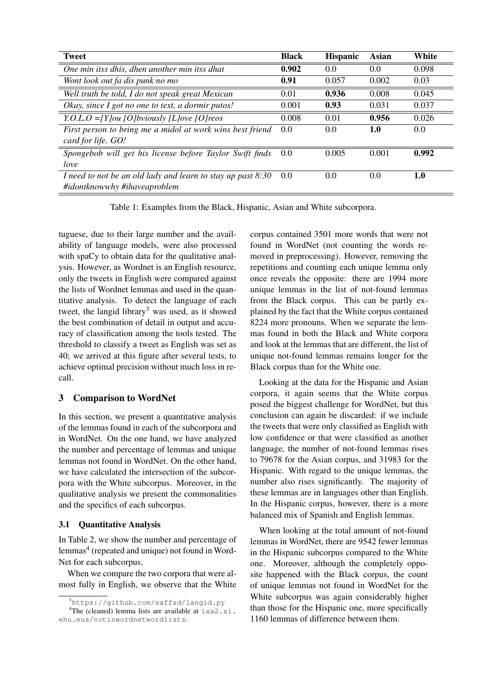| <b>Tweet</b>                                                  | <b>Black</b> | <b>Hispanic</b> | Asian | White |
|---------------------------------------------------------------|--------------|-----------------|-------|-------|
| One min itss dhis, dhen another min itss dhat                 | 0.902        | 0.0             | 0.0   | 0.098 |
| Wont look out fa dis punk no mo                               | 0.91         | 0.057           | 0.002 | 0.03  |
| Well truth be told, I do not speak great Mexican              | 0.01         | 0.936           | 0.008 | 0.045 |
| Okay, since I got no one to text, a dormir putos!             | 0.001        | 0.93            | 0.031 | 0.037 |
| Y.O.L.O = [Y] ou [O] bviously [L] ove [O] reos                | 0.008        | 0.01            | 0.956 | 0.026 |
| First person to bring me a midol at work wins best friend     | 0.0          | 0.0             | 1.0   | 0.0   |
| card for life. GO!                                            |              |                 |       |       |
| Spongebob will get his license before Taylor Swift finds      | 0.0          | 0.005           | 0.001 | 0.992 |
| love                                                          |              |                 |       |       |
| I need to not be an old lady and learn to stay up past $8:30$ | 0.0          | 0.0             | 0.0   | 1.0   |
| #idontknowwhy #ihaveaproblem                                  |              |                 |       |       |

Table 1: Examples from the Black, Hispanic, Asian and White subcorpora.

tuguese, due to their large number and the availability of language models, were also processed with spaCy to obtain data for the qualitative analysis. However, as Wordnet is an English resource, only the tweets in English were compared against the lists of Wordnet lemmas and used in the quantitative analysis. To detect the language of each tweet, the langid library<sup>3</sup> was used, as it showed the best combination of detail in output and accuracy of classification among the tools tested. The threshold to classify a tweet as English was set as 40; we arrived at this figure after several tests, to achieve optimal precision without much loss in recall.

# 3 Comparison to WordNet

In this section, we present a quantitative analysis of the lemmas found in each of the subcorpora and in WordNet. On the one hand, we have analyzed the number and percentage of lemmas and unique lemmas not found in WordNet. On the other hand, we have calculated the intersection of the subcorpora with the White subcorpus. Moreover, in the qualitative analysis we present the commonalities and the specifics of each subcorpus.

## 3.1 Quantitative Analysis

In Table 2, we show the number and percentage of lemmas<sup>4</sup> (repeated and unique) not found in Word-Net for each subcorpus.

When we compare the two corpora that were almost fully in English, we observe that the White corpus contained 3501 more words that were not found in WordNet (not counting the words removed in preprocessing). However, removing the repetitions and counting each unique lemma only once reveals the opposite: there are 1994 more unique lemmas in the list of not-found lemmas from the Black corpus. This can be partly explained by the fact that the White corpus contained 8224 more pronouns. When we separate the lemmas found in both the Black and White corpora and look at the lemmas that are different, the list of unique not-found lemmas remains longer for the Black corpus than for the White one.

Looking at the data for the Hispanic and Asian corpora, it again seems that the White corpus posed the biggest challenge for WordNet, but this conclusion can again be discarded: if we include the tweets that were only classified as English with low confidence or that were classified as another language, the number of not-found lemmas rises to 79678 for the Asian corpus, and 31983 for the Hispanic. With regard to the unique lemmas, the number also rises significantly. The majority of these lemmas are in languages other than English. In the Hispanic corpus, however, there is a more balanced mix of Spanish and English lemmas.

When looking at the total amount of not-found lemmas in WordNet, there are 9542 fewer lemmas in the Hispanic subcorpus compared to the White one. Moreover, although the completely opposite happened with the Black corpus, the count of unique lemmas not found in WordNet for the White subcorpus was again considerably higher than those for the Hispanic one, more specifically 1160 lemmas of difference between them.

 $3$ https://qithub.com/saffsd/langid.py

<sup>&</sup>lt;sup>4</sup>The (cleaned) lemma lists are available at  $i \times a2$ .si. ehu.eus/notinwordnetwordlists.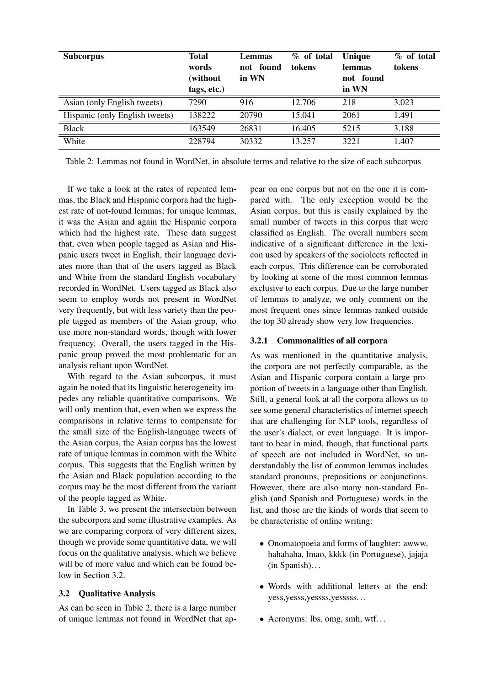| <b>Subcorpus</b>               | <b>Total</b><br>words<br>(without<br>tags, etc.) | Lemmas<br>not found<br>in WN | % of total<br>tokens | Unique<br><b>lemmas</b><br>not found<br>in WN | % of total<br>tokens |
|--------------------------------|--------------------------------------------------|------------------------------|----------------------|-----------------------------------------------|----------------------|
| Asian (only English tweets)    | 7290                                             | 916                          | 12.706               | 218                                           | 3.023                |
| Hispanic (only English tweets) | 138222                                           | 20790                        | 15.041               | 2061                                          | 1.491                |
| <b>Black</b>                   | 163549                                           | 26831                        | 16.405               | 5215                                          | 3.188                |
| White                          | 228794                                           | 30332                        | 13.257               | 3221                                          | 1.407                |

Table 2: Lemmas not found in WordNet, in absolute terms and relative to the size of each subcorpus

If we take a look at the rates of repeated lemmas, the Black and Hispanic corpora had the highest rate of not-found lemmas; for unique lemmas, it was the Asian and again the Hispanic corpora which had the highest rate. These data suggest that, even when people tagged as Asian and Hispanic users tweet in English, their language deviates more than that of the users tagged as Black and White from the standard English vocabulary recorded in WordNet. Users tagged as Black also seem to employ words not present in WordNet very frequently, but with less variety than the people tagged as members of the Asian group, who use more non-standard words, though with lower frequency. Overall, the users tagged in the Hispanic group proved the most problematic for an analysis reliant upon WordNet.

With regard to the Asian subcorpus, it must again be noted that its linguistic heterogeneity impedes any reliable quantitative comparisons. We will only mention that, even when we express the comparisons in relative terms to compensate for the small size of the English-language tweets of the Asian corpus, the Asian corpus has the lowest rate of unique lemmas in common with the White corpus. This suggests that the English written by the Asian and Black population according to the corpus may be the most different from the variant of the people tagged as White.

In Table 3, we present the intersection between the subcorpora and some illustrative examples. As we are comparing corpora of very different sizes, though we provide some quantitative data, we will focus on the qualitative analysis, which we believe will be of more value and which can be found below in Section 3.2.

#### 3.2 Qualitative Analysis

As can be seen in Table 2, there is a large number of unique lemmas not found in WordNet that appear on one corpus but not on the one it is compared with. The only exception would be the Asian corpus, but this is easily explained by the small number of tweets in this corpus that were classified as English. The overall numbers seem indicative of a significant difference in the lexicon used by speakers of the sociolects reflected in each corpus. This difference can be corroborated by looking at some of the most common lemmas exclusive to each corpus. Due to the large number of lemmas to analyze, we only comment on the most frequent ones since lemmas ranked outside the top 30 already show very low frequencies.

## 3.2.1 Commonalities of all corpora

As was mentioned in the quantitative analysis, the corpora are not perfectly comparable, as the Asian and Hispanic corpora contain a large proportion of tweets in a language other than English. Still, a general look at all the corpora allows us to see some general characteristics of internet speech that are challenging for NLP tools, regardless of the user's dialect, or even language. It is important to bear in mind, though, that functional parts of speech are not included in WordNet, so understandably the list of common lemmas includes standard pronouns, prepositions or conjunctions. However, there are also many non-standard English (and Spanish and Portuguese) words in the list, and those are the kinds of words that seem to be characteristic of online writing:

- Onomatopoeia and forms of laughter: awww, hahahaha, lmao, kkkk (in Portuguese), jajaja (in Spanish). . .
- Words with additional letters at the end: yess,yesss,yessss,yesssss. . .
- Acronyms: lbs, omg, smh, wtf...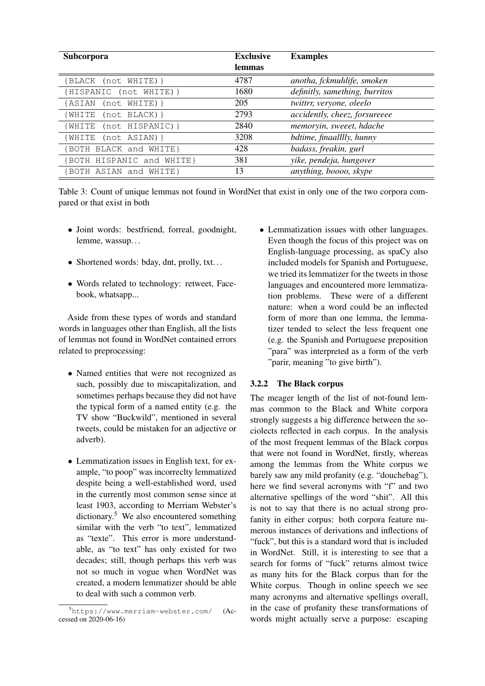| <b>Subcorpora</b>          | <b>Exclusive</b><br>lemmas | <b>Examples</b>                |
|----------------------------|----------------------------|--------------------------------|
| {BLACK (not WHITE)}        | 4787                       | anotha, fckmuhlife, smoken     |
| {HISPANIC (not WHITE) }    | 1680                       | definitly, samething, burritos |
| {ASIAN<br>$(not WITHTE)$ } | 205                        | twittrr, veryone, oleelo       |
| {WHITE<br>(not BLACK) }    | 2793                       | accidently, cheez, forsureeee  |
| (WHITE (not HISPANIC)}     | 2840                       | memoryin, sweeet, hdache       |
| (WHITE (not ASIAN)}        | 3208                       | bdtime, finaalllly, hunny      |
| {BOTH BLACK and WHITE}     | 428                        | badass, freakin, gurl          |
| {BOTH HISPANIC and WHITE}  | 381                        | yike, pendeja, hungover        |
| {BOTH ASIAN and WHITE}     | 13                         | anything, boooo, skype         |

Table 3: Count of unique lemmas not found in WordNet that exist in only one of the two corpora compared or that exist in both

- Joint words: bestfriend, forreal, goodnight, lemme, wassup. . .
- Shortened words: bday, dnt, prolly, txt...
- Words related to technology: retweet, Facebook, whatsapp...

Aside from these types of words and standard words in languages other than English, all the lists of lemmas not found in WordNet contained errors related to preprocessing:

- Named entities that were not recognized as such, possibly due to miscapitalization, and sometimes perhaps because they did not have the typical form of a named entity (e.g. the TV show "Buckwild", mentioned in several tweets, could be mistaken for an adjective or adverb).
- Lemmatization issues in English text, for example, "to poop" was incorreclty lemmatized despite being a well-established word, used in the currently most common sense since at least 1903, according to Merriam Webster's dictionary.<sup>5</sup> We also encountered something similar with the verb "to text", lemmatized as "texte". This error is more understandable, as "to text" has only existed for two decades; still, though perhaps this verb was not so much in vogue when WordNet was created, a modern lemmatizer should be able to deal with such a common verb.

• Lemmatization issues with other languages. Even though the focus of this project was on English-language processing, as spaCy also included models for Spanish and Portuguese, we tried its lemmatizer for the tweets in those languages and encountered more lemmatization problems. These were of a different nature: when a word could be an inflected form of more than one lemma, the lemmatizer tended to select the less frequent one (e.g. the Spanish and Portuguese preposition "para" was interpreted as a form of the verb "parir, meaning "to give birth").

## 3.2.2 The Black corpus

The meager length of the list of not-found lemmas common to the Black and White corpora strongly suggests a big difference between the sociolects reflected in each corpus. In the analysis of the most frequent lemmas of the Black corpus that were not found in WordNet, firstly, whereas among the lemmas from the White corpus we barely saw any mild profanity (e.g. "douchebag"), here we find several acronyms with "f" and two alternative spellings of the word "shit". All this is not to say that there is no actual strong profanity in either corpus: both corpora feature numerous instances of derivations and inflections of "fuck", but this is a standard word that is included in WordNet. Still, it is interesting to see that a search for forms of "fuck" returns almost twice as many hits for the Black corpus than for the White corpus. Though in online speech we see many acronyms and alternative spellings overall, in the case of profanity these transformations of words might actually serve a purpose: escaping

<sup>5</sup>https://www.merriam-webster.com/ (Accessed on 2020-06-16)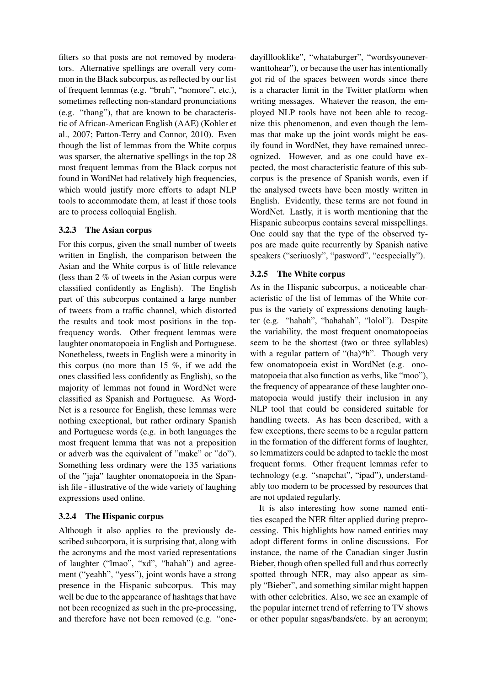filters so that posts are not removed by moderators. Alternative spellings are overall very common in the Black subcorpus, as reflected by our list of frequent lemmas (e.g. "bruh", "nomore", etc.), sometimes reflecting non-standard pronunciations (e.g. "thang"), that are known to be characteristic of African-American English (AAE) (Kohler et al., 2007; Patton-Terry and Connor, 2010). Even though the list of lemmas from the White corpus was sparser, the alternative spellings in the top 28 most frequent lemmas from the Black corpus not found in WordNet had relatively high frequencies, which would justify more efforts to adapt NLP tools to accommodate them, at least if those tools are to process colloquial English.

## 3.2.3 The Asian corpus

For this corpus, given the small number of tweets written in English, the comparison between the Asian and the White corpus is of little relevance (less than 2 % of tweets in the Asian corpus were classified confidently as English). The English part of this subcorpus contained a large number of tweets from a traffic channel, which distorted the results and took most positions in the topfrequency words. Other frequent lemmas were laughter onomatopoeia in English and Portuguese. Nonetheless, tweets in English were a minority in this corpus (no more than 15 %, if we add the ones classified less confidently as English), so the majority of lemmas not found in WordNet were classified as Spanish and Portuguese. As Word-Net is a resource for English, these lemmas were nothing exceptional, but rather ordinary Spanish and Portuguese words (e.g. in both languages the most frequent lemma that was not a preposition or adverb was the equivalent of "make" or "do"). Something less ordinary were the 135 variations of the "jaja" laughter onomatopoeia in the Spanish file - illustrative of the wide variety of laughing expressions used online.

## 3.2.4 The Hispanic corpus

Although it also applies to the previously described subcorpora, it is surprising that, along with the acronyms and the most varied representations of laughter ("lmao", "xd", "hahah") and agreement ("yeahh", "yess"), joint words have a strong presence in the Hispanic subcorpus. This may well be due to the appearance of hashtags that have not been recognized as such in the pre-processing, and therefore have not been removed (e.g. "one-

dayilllooklike", "whataburger", "wordsyouneverwanttohear"), or because the user has intentionally got rid of the spaces between words since there is a character limit in the Twitter platform when writing messages. Whatever the reason, the employed NLP tools have not been able to recognize this phenomenon, and even though the lemmas that make up the joint words might be easily found in WordNet, they have remained unrecognized. However, and as one could have expected, the most characteristic feature of this subcorpus is the presence of Spanish words, even if the analysed tweets have been mostly written in English. Evidently, these terms are not found in WordNet. Lastly, it is worth mentioning that the Hispanic subcorpus contains several misspellings. One could say that the type of the observed typos are made quite recurrently by Spanish native speakers ("seriuosly", "pasword", "ecspecially").

## 3.2.5 The White corpus

As in the Hispanic subcorpus, a noticeable characteristic of the list of lemmas of the White corpus is the variety of expressions denoting laughter (e.g. "hahah", "hahahah", "lolol"). Despite the variability, the most frequent onomatopoeias seem to be the shortest (two or three syllables) with a regular pattern of "(ha)\*h". Though very few onomatopoeia exist in WordNet (e.g. onomatopoeia that also function as verbs, like "moo"), the frequency of appearance of these laughter onomatopoeia would justify their inclusion in any NLP tool that could be considered suitable for handling tweets. As has been described, with a few exceptions, there seems to be a regular pattern in the formation of the different forms of laughter, so lemmatizers could be adapted to tackle the most frequent forms. Other frequent lemmas refer to technology (e.g. "snapchat", "ipad"), understandably too modern to be processed by resources that are not updated regularly.

It is also interesting how some named entities escaped the NER filter applied during preprocessing. This highlights how named entities may adopt different forms in online discussions. For instance, the name of the Canadian singer Justin Bieber, though often spelled full and thus correctly spotted through NER, may also appear as simply "Bieber", and something similar might happen with other celebrities. Also, we see an example of the popular internet trend of referring to TV shows or other popular sagas/bands/etc. by an acronym;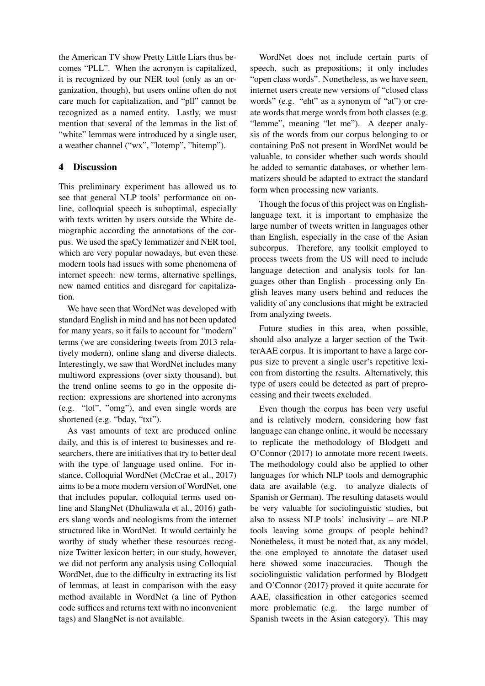the American TV show Pretty Little Liars thus becomes "PLL". When the acronym is capitalized, it is recognized by our NER tool (only as an organization, though), but users online often do not care much for capitalization, and "pll" cannot be recognized as a named entity. Lastly, we must mention that several of the lemmas in the list of "white" lemmas were introduced by a single user, a weather channel ("wx", "lotemp", "hitemp").

# 4 Discussion

This preliminary experiment has allowed us to see that general NLP tools' performance on online, colloquial speech is suboptimal, especially with texts written by users outside the White demographic according the annotations of the corpus. We used the spaCy lemmatizer and NER tool, which are very popular nowadays, but even these modern tools had issues with some phenomena of internet speech: new terms, alternative spellings, new named entities and disregard for capitalization.

We have seen that WordNet was developed with standard English in mind and has not been updated for many years, so it fails to account for "modern" terms (we are considering tweets from 2013 relatively modern), online slang and diverse dialects. Interestingly, we saw that WordNet includes many multiword expressions (over sixty thousand), but the trend online seems to go in the opposite direction: expressions are shortened into acronyms (e.g. "lol", "omg"), and even single words are shortened (e.g. "bday, "txt").

As vast amounts of text are produced online daily, and this is of interest to businesses and researchers, there are initiatives that try to better deal with the type of language used online. For instance, Colloquial WordNet (McCrae et al., 2017) aims to be a more modern version of WordNet, one that includes popular, colloquial terms used online and SlangNet (Dhuliawala et al., 2016) gathers slang words and neologisms from the internet structured like in WordNet. It would certainly be worthy of study whether these resources recognize Twitter lexicon better; in our study, however, we did not perform any analysis using Colloquial WordNet, due to the difficulty in extracting its list of lemmas, at least in comparison with the easy method available in WordNet (a line of Python code suffices and returns text with no inconvenient tags) and SlangNet is not available.

WordNet does not include certain parts of speech, such as prepositions; it only includes "open class words". Nonetheless, as we have seen, internet users create new versions of "closed class words" (e.g. "eht" as a synonym of "at") or create words that merge words from both classes (e.g. "lemme", meaning "let me"). A deeper analysis of the words from our corpus belonging to or containing PoS not present in WordNet would be valuable, to consider whether such words should be added to semantic databases, or whether lemmatizers should be adapted to extract the standard form when processing new variants.

Though the focus of this project was on Englishlanguage text, it is important to emphasize the large number of tweets written in languages other than English, especially in the case of the Asian subcorpus. Therefore, any toolkit employed to process tweets from the US will need to include language detection and analysis tools for languages other than English - processing only English leaves many users behind and reduces the validity of any conclusions that might be extracted from analyzing tweets.

Future studies in this area, when possible, should also analyze a larger section of the TwitterAAE corpus. It is important to have a large corpus size to prevent a single user's repetitive lexicon from distorting the results. Alternatively, this type of users could be detected as part of preprocessing and their tweets excluded.

Even though the corpus has been very useful and is relatively modern, considering how fast language can change online, it would be necessary to replicate the methodology of Blodgett and O'Connor (2017) to annotate more recent tweets. The methodology could also be applied to other languages for which NLP tools and demographic data are available (e.g. to analyze dialects of Spanish or German). The resulting datasets would be very valuable for sociolinguistic studies, but also to assess NLP tools' inclusivity – are NLP tools leaving some groups of people behind? Nonetheless, it must be noted that, as any model, the one employed to annotate the dataset used here showed some inaccuracies. Though the sociolinguistic validation performed by Blodgett and O'Connor (2017) proved it quite accurate for AAE, classification in other categories seemed more problematic (e.g. the large number of Spanish tweets in the Asian category). This may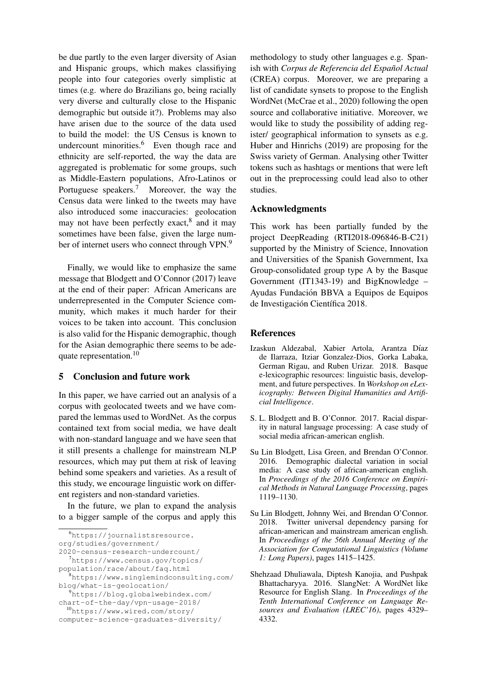be due partly to the even larger diversity of Asian and Hispanic groups, which makes classifiying people into four categories overly simplistic at times (e.g. where do Brazilians go, being racially very diverse and culturally close to the Hispanic demographic but outside it?). Problems may also have arisen due to the source of the data used to build the model: the US Census is known to undercount minorities.<sup>6</sup> Even though race and ethnicity are self-reported, the way the data are aggregated is problematic for some groups, such as Middle-Eastern populations, Afro-Latinos or Portuguese speakers.<sup>7</sup> Moreover, the way the Census data were linked to the tweets may have also introduced some inaccuracies: geolocation may not have been perfectly exact,<sup>8</sup> and it may sometimes have been false, given the large number of internet users who connect through VPN.<sup>9</sup>

Finally, we would like to emphasize the same message that Blodgett and O'Connor (2017) leave at the end of their paper: African Americans are underrepresented in the Computer Science community, which makes it much harder for their voices to be taken into account. This conclusion is also valid for the Hispanic demographic, though for the Asian demographic there seems to be adequate representation.<sup>10</sup>

## 5 Conclusion and future work

In this paper, we have carried out an analysis of a corpus with geolocated tweets and we have compared the lemmas used to WordNet. As the corpus contained text from social media, we have dealt with non-standard language and we have seen that it still presents a challenge for mainstream NLP resources, which may put them at risk of leaving behind some speakers and varieties. As a result of this study, we encourage linguistic work on different registers and non-standard varieties.

In the future, we plan to expand the analysis to a bigger sample of the corpus and apply this

<sup>6</sup>https://journalistsresource. org/studies/government/

2020-census-research-undercount/

 $7$ https://www.census.gov/topics/

population/race/about/faq.html

methodology to study other languages e.g. Spanish with *Corpus de Referencia del Espanol Actual ˜* (CREA) corpus. Moreover, we are preparing a list of candidate synsets to propose to the English WordNet (McCrae et al., 2020) following the open source and collaborative initiative. Moreover, we would like to study the possibility of adding register/ geographical information to synsets as e.g. Huber and Hinrichs (2019) are proposing for the Swiss variety of German. Analysing other Twitter tokens such as hashtags or mentions that were left out in the preprocessing could lead also to other studies.

#### Acknowledgments

This work has been partially funded by the project DeepReading (RTI2018-096846-B-C21) supported by the Ministry of Science, Innovation and Universities of the Spanish Government, Ixa Group-consolidated group type A by the Basque Government (IT1343-19) and BigKnowledge – Ayudas Fundación BBVA a Equipos de Equipos de Investigación Científica 2018.

#### References

- Izaskun Aldezabal, Xabier Artola, Arantza Díaz de Ilarraza, Itziar Gonzalez-Dios, Gorka Labaka, German Rigau, and Ruben Urizar. 2018. Basque e-lexicographic resources: linguistic basis, development, and future perspectives. In *Workshop on eLexicography: Between Digital Humanities and Artificial Intelligence*.
- S. L. Blodgett and B. O'Connor. 2017. Racial disparity in natural language processing: A case study of social media african-american english.
- Su Lin Blodgett, Lisa Green, and Brendan O'Connor. 2016. Demographic dialectal variation in social media: A case study of african-american english. In *Proceedings of the 2016 Conference on Empirical Methods in Natural Language Processing*, pages 1119–1130.
- Su Lin Blodgett, Johnny Wei, and Brendan O'Connor. 2018. Twitter universal dependency parsing for african-american and mainstream american english. In *Proceedings of the 56th Annual Meeting of the Association for Computational Linguistics (Volume 1: Long Papers)*, pages 1415–1425.
- Shehzaad Dhuliawala, Diptesh Kanojia, and Pushpak Bhattacharyya. 2016. SlangNet: A WordNet like Resource for English Slang. In *Proceedings of the Tenth International Conference on Language Resources and Evaluation (LREC'16)*, pages 4329– 4332.

<sup>8</sup>https://www.singlemindconsulting.com/ blog/what-is-geolocation/

<sup>9</sup>https://blog.globalwebindex.com/ chart-of-the-day/vpn-usage-2018/

<sup>10</sup>https://www.wired.com/story/

computer-science-graduates-diversity/